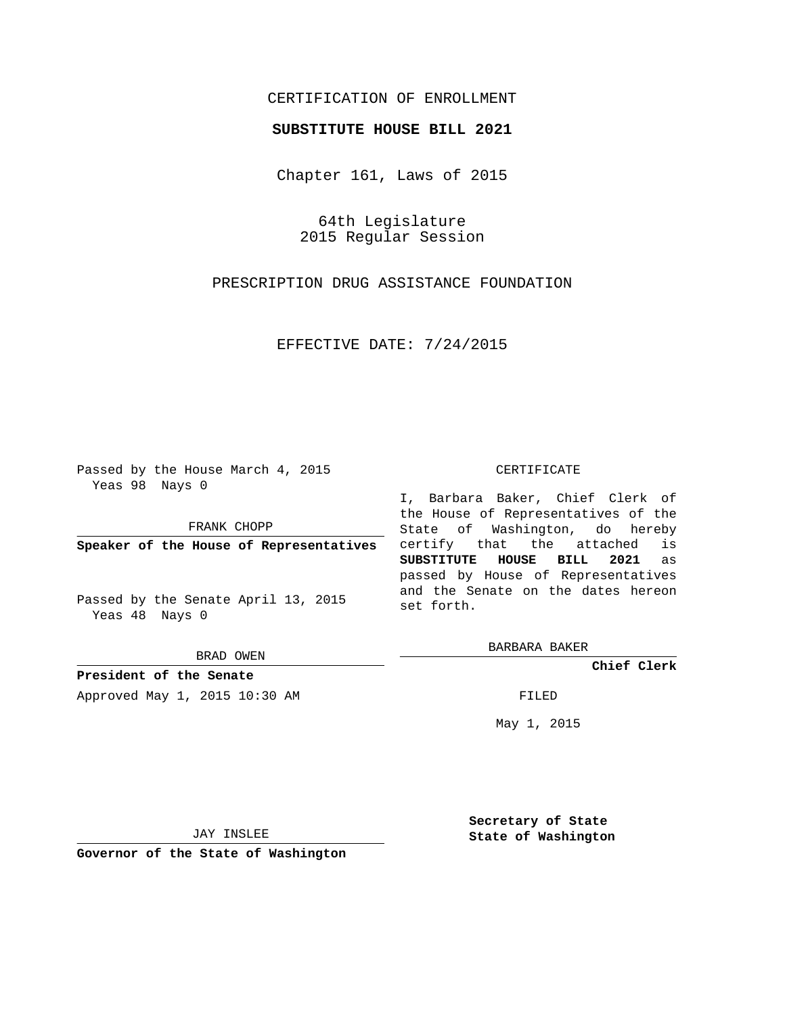## CERTIFICATION OF ENROLLMENT

## **SUBSTITUTE HOUSE BILL 2021**

Chapter 161, Laws of 2015

64th Legislature 2015 Regular Session

PRESCRIPTION DRUG ASSISTANCE FOUNDATION

EFFECTIVE DATE: 7/24/2015

Passed by the House March 4, 2015 Yeas 98 Nays 0

FRANK CHOPP

**Speaker of the House of Representatives**

Passed by the Senate April 13, 2015 Yeas 48 Nays 0

BRAD OWEN

**President of the Senate** Approved May 1, 2015 10:30 AM FILED

## CERTIFICATE

I, Barbara Baker, Chief Clerk of the House of Representatives of the State of Washington, do hereby certify that the attached is **SUBSTITUTE HOUSE BILL 2021** as passed by House of Representatives and the Senate on the dates hereon set forth.

BARBARA BAKER

**Chief Clerk**

May 1, 2015

JAY INSLEE

**Governor of the State of Washington**

**Secretary of State State of Washington**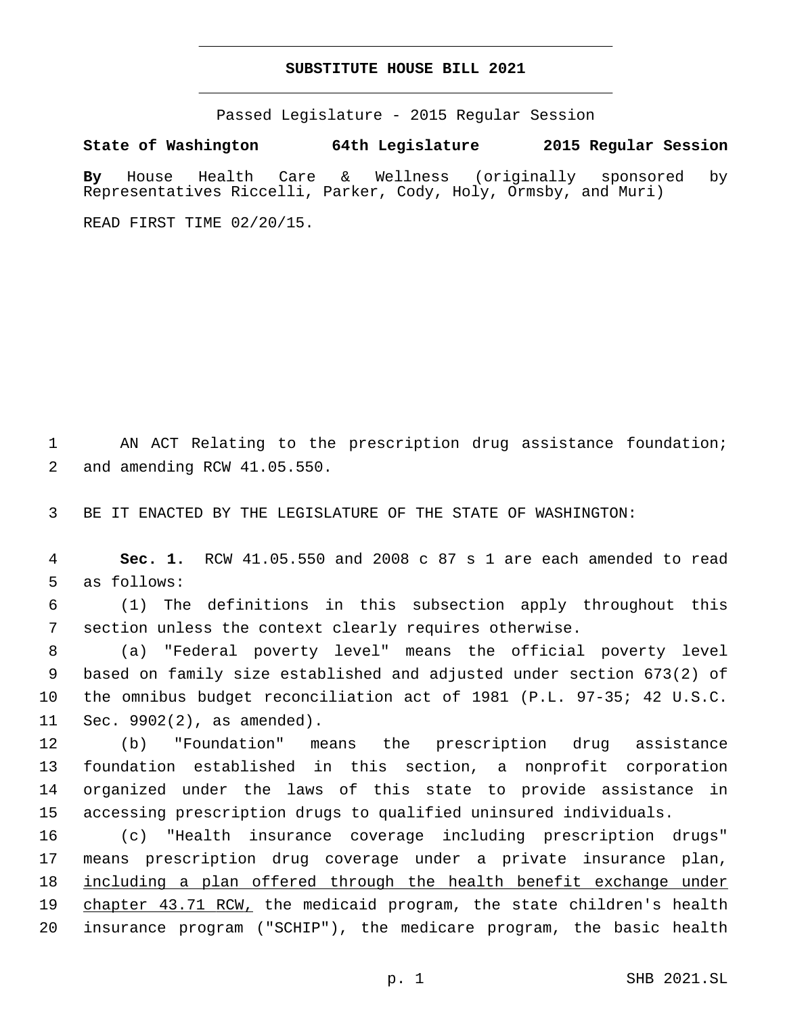## **SUBSTITUTE HOUSE BILL 2021**

Passed Legislature - 2015 Regular Session

**State of Washington 64th Legislature 2015 Regular Session**

**By** House Health Care & Wellness (originally sponsored by Representatives Riccelli, Parker, Cody, Holy, Ormsby, and Muri)

READ FIRST TIME 02/20/15.

1 AN ACT Relating to the prescription drug assistance foundation; 2 and amending RCW 41.05.550.

3 BE IT ENACTED BY THE LEGISLATURE OF THE STATE OF WASHINGTON:

4 **Sec. 1.** RCW 41.05.550 and 2008 c 87 s 1 are each amended to read 5 as follows:

6 (1) The definitions in this subsection apply throughout this 7 section unless the context clearly requires otherwise.

 (a) "Federal poverty level" means the official poverty level based on family size established and adjusted under section 673(2) of the omnibus budget reconciliation act of 1981 (P.L. 97-35; 42 U.S.C. 11 Sec.  $9902(2)$ , as amended).

 (b) "Foundation" means the prescription drug assistance foundation established in this section, a nonprofit corporation organized under the laws of this state to provide assistance in accessing prescription drugs to qualified uninsured individuals.

 (c) "Health insurance coverage including prescription drugs" means prescription drug coverage under a private insurance plan, including a plan offered through the health benefit exchange under 19 chapter 43.71 RCW, the medicaid program, the state children's health insurance program ("SCHIP"), the medicare program, the basic health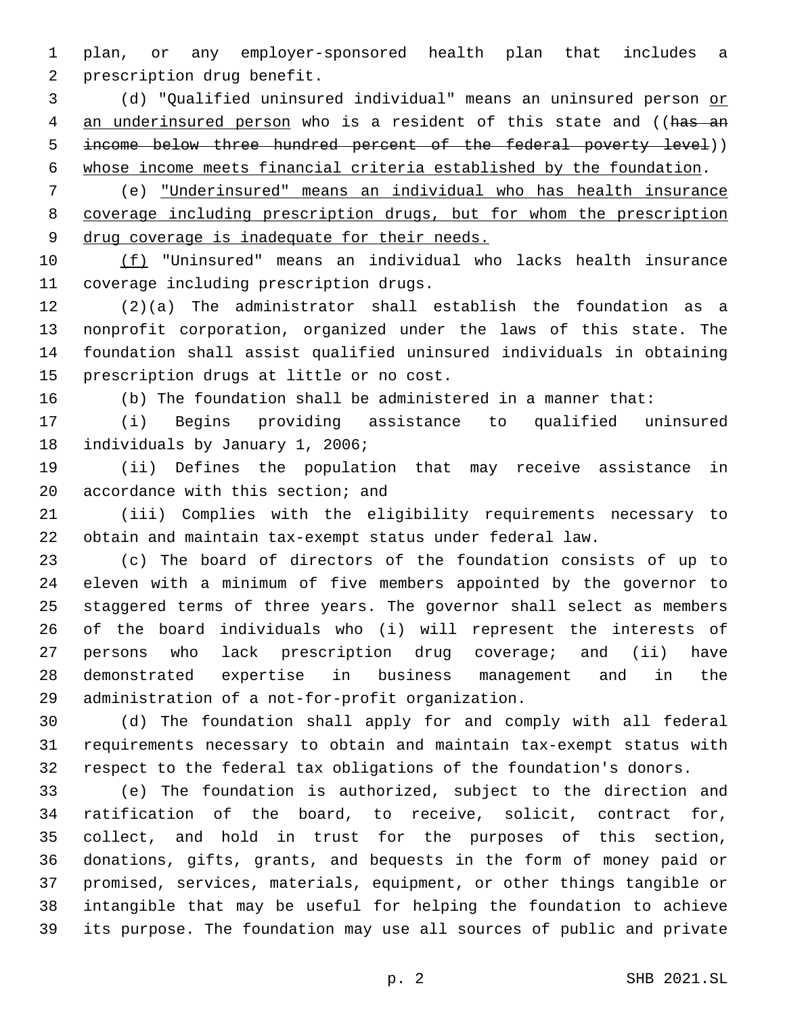plan, or any employer-sponsored health plan that includes a 2 prescription drug benefit.

 (d) "Qualified uninsured individual" means an uninsured person or 4 an underinsured person who is a resident of this state and ((has an 5 income below three hundred percent of the federal poverty level)) whose income meets financial criteria established by the foundation.

 (e) "Underinsured" means an individual who has health insurance coverage including prescription drugs, but for whom the prescription drug coverage is inadequate for their needs.

 (f) "Uninsured" means an individual who lacks health insurance 11 coverage including prescription drugs.

 (2)(a) The administrator shall establish the foundation as a nonprofit corporation, organized under the laws of this state. The foundation shall assist qualified uninsured individuals in obtaining 15 prescription drugs at little or no cost.

(b) The foundation shall be administered in a manner that:

 (i) Begins providing assistance to qualified uninsured 18 individuals by January 1, 2006;

 (ii) Defines the population that may receive assistance in 20 accordance with this section; and

 (iii) Complies with the eligibility requirements necessary to obtain and maintain tax-exempt status under federal law.

 (c) The board of directors of the foundation consists of up to eleven with a minimum of five members appointed by the governor to staggered terms of three years. The governor shall select as members of the board individuals who (i) will represent the interests of persons who lack prescription drug coverage; and (ii) have demonstrated expertise in business management and in the 29 administration of a not-for-profit organization.

 (d) The foundation shall apply for and comply with all federal requirements necessary to obtain and maintain tax-exempt status with respect to the federal tax obligations of the foundation's donors.

 (e) The foundation is authorized, subject to the direction and ratification of the board, to receive, solicit, contract for, collect, and hold in trust for the purposes of this section, donations, gifts, grants, and bequests in the form of money paid or promised, services, materials, equipment, or other things tangible or intangible that may be useful for helping the foundation to achieve its purpose. The foundation may use all sources of public and private